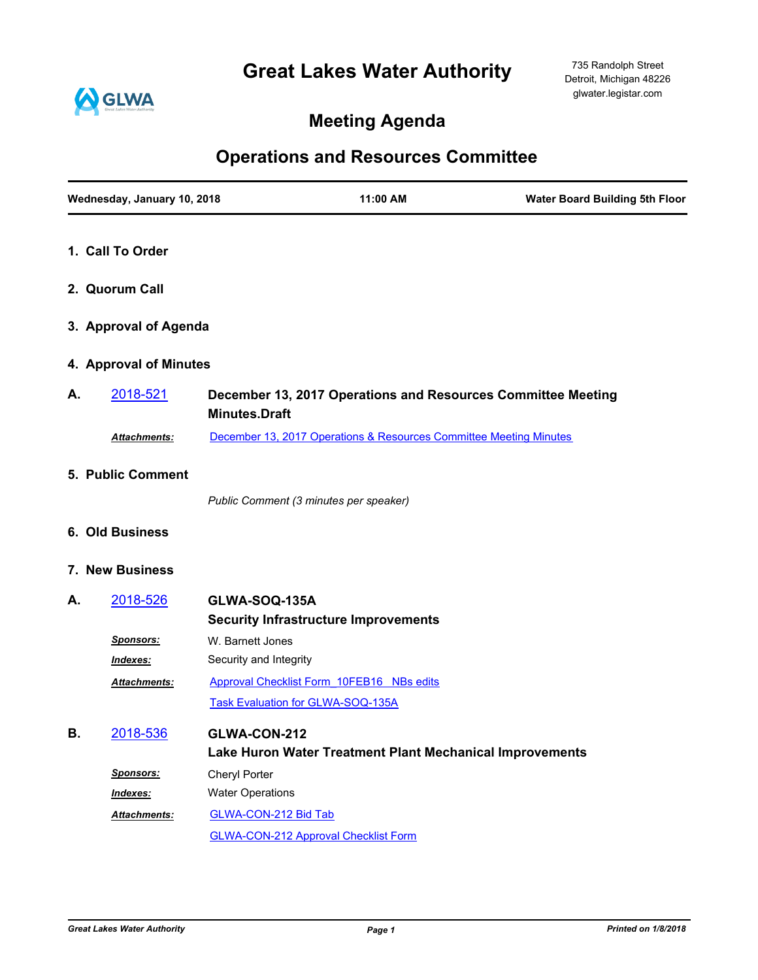## **Great Lakes Water Authority**



## **Meeting Agenda**

## **Operations and Resources Committee**

|    | Wednesday, January 10, 2018 |                                          | 11:00 AM                                                           | <b>Water Board Building 5th Floor</b> |
|----|-----------------------------|------------------------------------------|--------------------------------------------------------------------|---------------------------------------|
|    | 1. Call To Order            |                                          |                                                                    |                                       |
|    | 2. Quorum Call              |                                          |                                                                    |                                       |
|    | 3. Approval of Agenda       |                                          |                                                                    |                                       |
|    | 4. Approval of Minutes      |                                          |                                                                    |                                       |
| А. | 2018-521                    | <b>Minutes.Draft</b>                     | December 13, 2017 Operations and Resources Committee Meeting       |                                       |
|    | Attachments:                |                                          | December 13, 2017 Operations & Resources Committee Meeting Minutes |                                       |
|    | 5. Public Comment           |                                          |                                                                    |                                       |
|    |                             | Public Comment (3 minutes per speaker)   |                                                                    |                                       |
|    | 6. Old Business             |                                          |                                                                    |                                       |
|    | 7. New Business             |                                          |                                                                    |                                       |
| А. | 2018-526                    | GLWA-SOQ-135A                            | <b>Security Infrastructure Improvements</b>                        |                                       |
|    | Sponsors:                   | W. Barnett Jones                         |                                                                    |                                       |
|    | Indexes:                    | Security and Integrity                   |                                                                    |                                       |
|    | Attachments:                | <b>Task Evaluation for GLWA-SOQ-135A</b> | Approval Checklist Form 10FEB16 NBs edits                          |                                       |
| В. | 2018-536                    | GLWA-CON-212                             | Lake Huron Water Treatment Plant Mechanical Improvements           |                                       |
|    | <b>Sponsors:</b>            | Cheryl Porter                            |                                                                    |                                       |
|    | Indexes:                    | <b>Water Operations</b>                  |                                                                    |                                       |
|    | Attachments:                | <b>GLWA-CON-212 Bid Tab</b>              |                                                                    |                                       |
|    |                             |                                          | <b>GLWA-CON-212 Approval Checklist Form</b>                        |                                       |